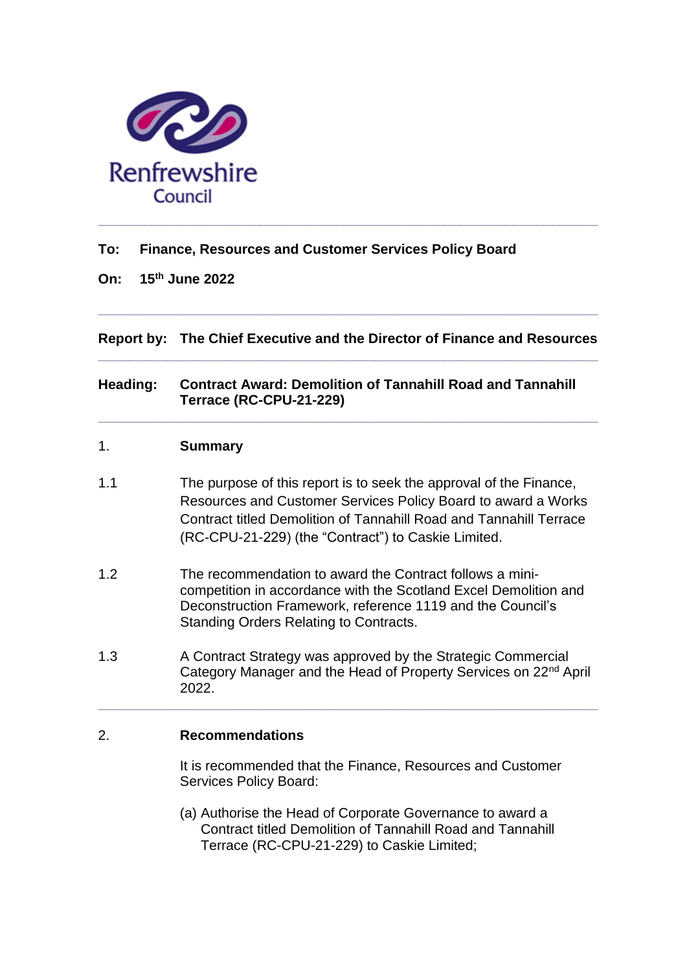

## **To: Finance, Resources and Customer Services Policy Board**

**On: 15th June 2022**

**Report by: The Chief Executive and the Director of Finance and Resources \_\_\_\_\_\_\_\_\_\_\_\_\_\_\_\_\_\_\_\_\_\_\_\_\_\_\_\_\_\_\_\_\_\_\_\_\_\_\_\_\_\_\_\_\_\_\_\_\_\_\_\_\_\_\_\_\_\_\_\_\_\_\_\_\_**

**\_\_\_\_\_\_\_\_\_\_\_\_\_\_\_\_\_\_\_\_\_\_\_\_\_\_\_\_\_\_\_\_\_\_\_\_\_\_\_\_\_\_\_\_\_\_\_\_\_\_\_\_\_\_\_\_\_\_\_\_\_\_\_\_\_**

## **Heading: Contract Award: Demolition of Tannahill Road and Tannahill Terrace (RC-CPU-21-229)**

**\_\_\_\_\_\_\_\_\_\_\_\_\_\_\_\_\_\_\_\_\_\_\_\_\_\_\_\_\_\_\_\_\_\_\_\_\_\_\_\_\_\_\_\_\_\_\_\_\_\_\_\_\_\_\_\_\_\_\_\_\_\_\_\_\_**

#### 1. **Summary**

- 1.1 The purpose of this report is to seek the approval of the Finance, Resources and Customer Services Policy Board to award a Works Contract titled Demolition of Tannahill Road and Tannahill Terrace (RC-CPU-21-229) (the "Contract") to Caskie Limited.
- 1.2 The recommendation to award the Contract follows a minicompetition in accordance with the Scotland Excel Demolition and Deconstruction Framework, reference 1119 and the Council's Standing Orders Relating to Contracts.
- 1.3 A Contract Strategy was approved by the Strategic Commercial Category Manager and the Head of Property Services on 22nd April 2022.

**\_\_\_\_\_\_\_\_\_\_\_\_\_\_\_\_\_\_\_\_\_\_\_\_\_\_\_\_\_\_\_\_\_\_\_\_\_\_\_\_\_\_\_\_\_\_\_\_\_\_\_\_\_\_\_\_\_\_\_\_\_\_\_\_\_**

#### 2. **Recommendations**

It is recommended that the Finance, Resources and Customer Services Policy Board:

(a) Authorise the Head of Corporate Governance to award a Contract titled Demolition of Tannahill Road and Tannahill Terrace (RC-CPU-21-229) to Caskie Limited;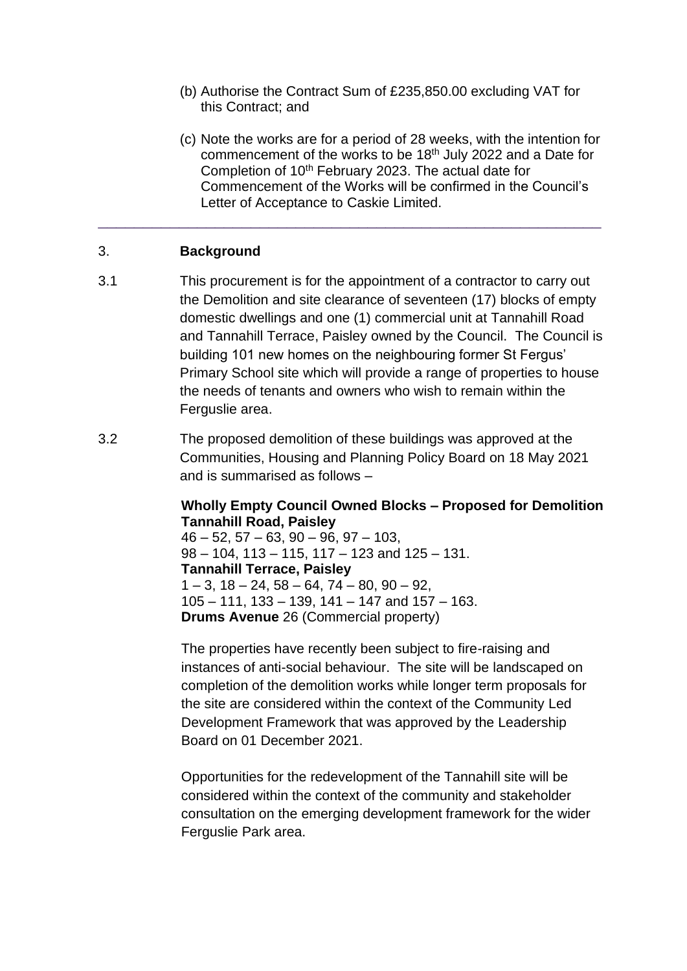- (b) Authorise the Contract Sum of £235,850.00 excluding VAT for this Contract; and
- (c) Note the works are for a period of 28 weeks, with the intention for commencement of the works to be 18<sup>th</sup> July 2022 and a Date for Completion of 10th February 2023. The actual date for Commencement of the Works will be confirmed in the Council's Letter of Acceptance to Caskie Limited.

### 3. **Background**

3.1 This procurement is for the appointment of a contractor to carry out the Demolition and site clearance of seventeen (17) blocks of empty domestic dwellings and one (1) commercial unit at Tannahill Road and Tannahill Terrace, Paisley owned by the Council. The Council is building 101 new homes on the neighbouring former St Fergus' Primary School site which will provide a range of properties to house the needs of tenants and owners who wish to remain within the Ferguslie area.

\_\_\_\_\_\_\_\_\_\_\_\_\_\_\_\_\_\_\_\_\_\_\_\_\_\_\_\_\_\_\_\_\_\_\_\_\_\_\_\_\_\_\_\_\_\_\_\_\_\_\_\_\_\_\_\_

3.2 The proposed demolition of these buildings was approved at the Communities, Housing and Planning Policy Board on 18 May 2021 and is summarised as follows –

### **Wholly Empty Council Owned Blocks – Proposed for Demolition Tannahill Road, Paisley**

 $46 - 52$ ,  $57 - 63$ ,  $90 - 96$ ,  $97 - 103$ ,  $98 - 104$ , 113 – 115, 117 – 123 and 125 – 131. **Tannahill Terrace, Paisley**  $1 - 3$ ,  $18 - 24$ ,  $58 - 64$ ,  $74 - 80$ ,  $90 - 92$ .  $105 - 111$ ,  $133 - 139$ ,  $141 - 147$  and  $157 - 163$ . **Drums Avenue** 26 (Commercial property)

The properties have recently been subject to fire-raising and instances of anti-social behaviour. The site will be landscaped on completion of the demolition works while longer term proposals for the site are considered within the context of the Community Led Development Framework that was approved by the Leadership Board on 01 December 2021.

Opportunities for the redevelopment of the Tannahill site will be considered within the context of the community and stakeholder consultation on the emerging development framework for the wider Ferguslie Park area.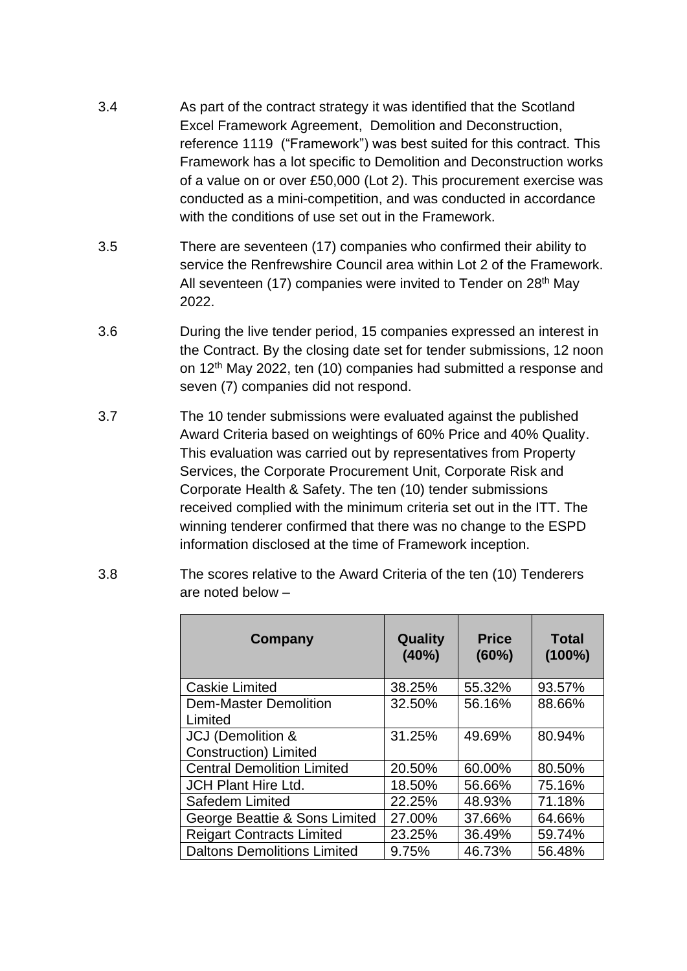- 3.4 As part of the contract strategy it was identified that the Scotland Excel Framework Agreement, Demolition and Deconstruction, reference 1119 ("Framework") was best suited for this contract. This Framework has a lot specific to Demolition and Deconstruction works of a value on or over £50,000 (Lot 2). This procurement exercise was conducted as a mini-competition, and was conducted in accordance with the conditions of use set out in the Framework.
- 3.5 There are seventeen (17) companies who confirmed their ability to service the Renfrewshire Council area within Lot 2 of the Framework. All seventeen (17) companies were invited to Tender on 28<sup>th</sup> May 2022.
- 3.6 During the live tender period, 15 companies expressed an interest in the Contract. By the closing date set for tender submissions, 12 noon on 12th May 2022, ten (10) companies had submitted a response and seven (7) companies did not respond.
- 3.7 The 10 tender submissions were evaluated against the published Award Criteria based on weightings of 60% Price and 40% Quality. This evaluation was carried out by representatives from Property Services, the Corporate Procurement Unit, Corporate Risk and Corporate Health & Safety. The ten (10) tender submissions received complied with the minimum criteria set out in the ITT. The winning tenderer confirmed that there was no change to the ESPD information disclosed at the time of Framework inception.
- 3.8 The scores relative to the Award Criteria of the ten (10) Tenderers are noted below –

| Company                                            | Quality<br>(40%) | <b>Price</b><br>$(60\%)$ | <b>Total</b><br>$(100\%)$ |
|----------------------------------------------------|------------------|--------------------------|---------------------------|
| <b>Caskie Limited</b>                              | 38.25%           | 55.32%                   | 93.57%                    |
| <b>Dem-Master Demolition</b><br>Limited            | 32.50%           | 56.16%                   | 88.66%                    |
| JCJ (Demolition &<br><b>Construction</b> ) Limited | 31.25%           | 49.69%                   | 80.94%                    |
| <b>Central Demolition Limited</b>                  | 20.50%           | 60.00%                   | 80.50%                    |
| <b>JCH Plant Hire Ltd.</b>                         | 18.50%           | 56.66%                   | 75.16%                    |
| Safedem Limited                                    | 22.25%           | 48.93%                   | 71.18%                    |
| George Beattie & Sons Limited                      | 27.00%           | 37.66%                   | 64.66%                    |
| <b>Reigart Contracts Limited</b>                   | 23.25%           | 36.49%                   | 59.74%                    |
| <b>Daltons Demolitions Limited</b>                 | 9.75%            | 46.73%                   | 56.48%                    |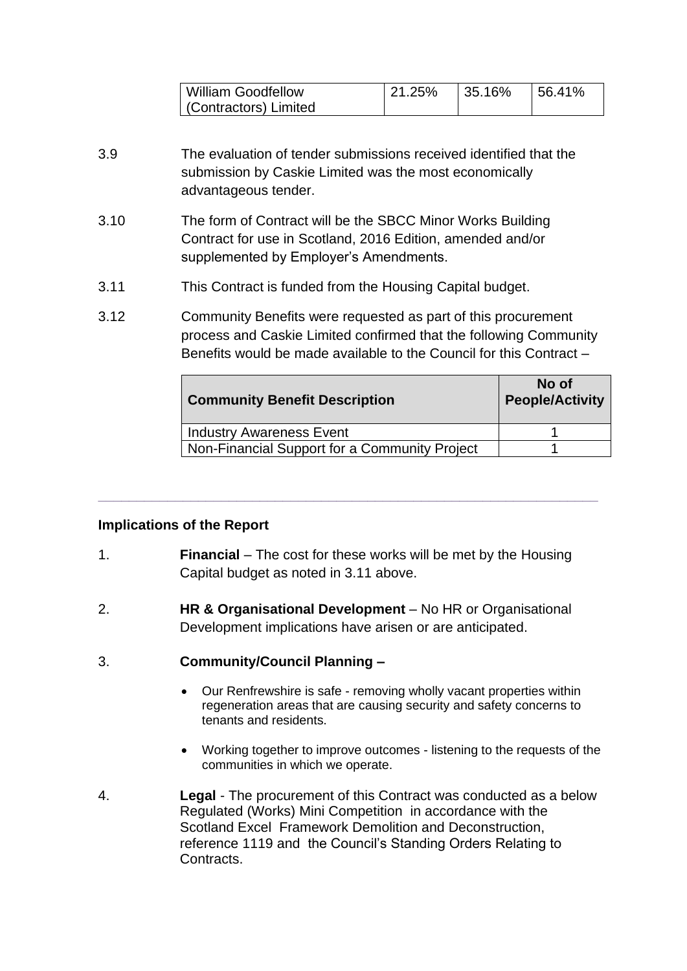| William Goodfellow    | 21.25% | 135.16% | 156.41% |
|-----------------------|--------|---------|---------|
| (Contractors) Limited |        |         |         |

- 3.9 The evaluation of tender submissions received identified that the submission by Caskie Limited was the most economically advantageous tender.
- 3.10 The form of Contract will be the SBCC Minor Works Building Contract for use in Scotland, 2016 Edition, amended and/or supplemented by Employer's Amendments.
- 3.11 This Contract is funded from the Housing Capital budget.
- 3.12 Community Benefits were requested as part of this procurement process and Caskie Limited confirmed that the following Community Benefits would be made available to the Council for this Contract –

| <b>Community Benefit Description</b>          | No of<br><b>People/Activity</b> |
|-----------------------------------------------|---------------------------------|
| Industry Awareness Event                      |                                 |
| Non-Financial Support for a Community Project |                                 |

# **Implications of the Report**

1. **Financial** – The cost for these works will be met by the Housing Capital budget as noted in 3.11 above.

**\_\_\_\_\_\_\_\_\_\_\_\_\_\_\_\_\_\_\_\_\_\_\_\_\_\_\_\_\_\_\_\_\_\_\_\_\_\_\_\_\_\_\_\_\_\_\_\_\_\_\_\_\_\_\_\_\_\_\_\_\_\_\_\_\_**

- 2. **HR & Organisational Development** No HR or Organisational Development implications have arisen or are anticipated.
- 3. **Community/Council Planning –**
	- Our Renfrewshire is safe removing wholly vacant properties within regeneration areas that are causing security and safety concerns to tenants and residents.
	- Working together to improve outcomes listening to the requests of the communities in which we operate.
- 4. **Legal** The procurement of this Contract was conducted as a below Regulated (Works) Mini Competition in accordance with the Scotland Excel Framework Demolition and Deconstruction, reference 1119 and the Council's Standing Orders Relating to Contracts.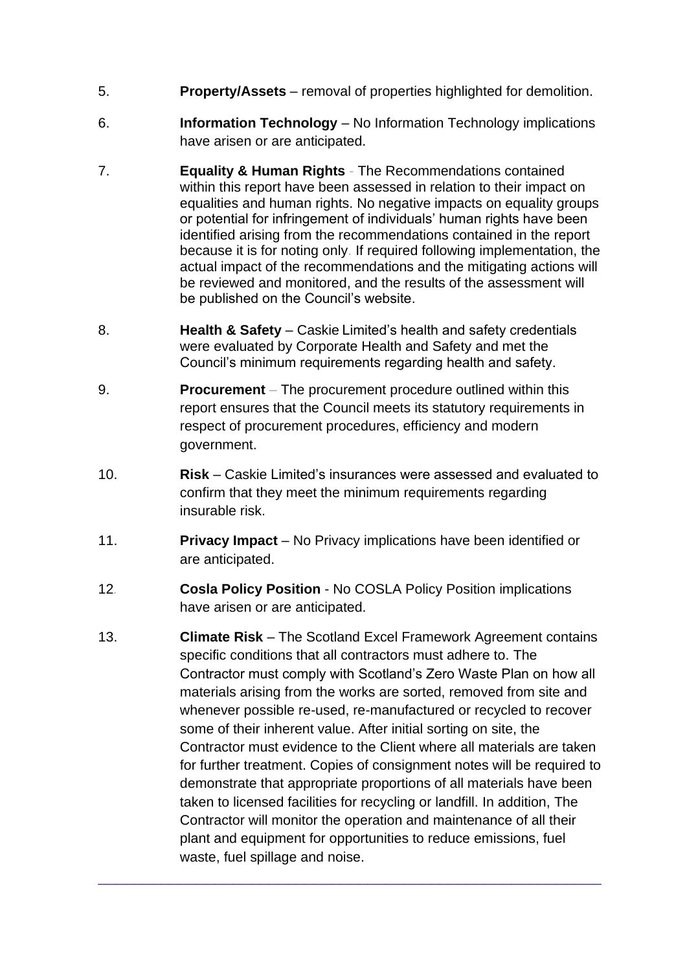- 5. **Property/Assets** removal of properties highlighted for demolition.
- 6. **Information Technology** No Information Technology implications have arisen or are anticipated.
- 7. **Equality & Human Rights** The Recommendations contained within this report have been assessed in relation to their impact on equalities and human rights. No negative impacts on equality groups or potential for infringement of individuals' human rights have been identified arising from the recommendations contained in the report because it is for noting only. If required following implementation, the actual impact of the recommendations and the mitigating actions will be reviewed and monitored, and the results of the assessment will be published on the Council's website.
- 8. **Health & Safety** Caskie Limited's health and safety credentials were evaluated by Corporate Health and Safety and met the Council's minimum requirements regarding health and safety.
- 9. **Procurement** *–* The procurement procedure outlined within this report ensures that the Council meets its statutory requirements in respect of procurement procedures, efficiency and modern government.
- 10. **Risk** Caskie Limited's insurances were assessed and evaluated to confirm that they meet the minimum requirements regarding insurable risk.
- 11. **Privacy Impact** No Privacy implications have been identified or are anticipated.
- 12*.* **Cosla Policy Position** No COSLA Policy Position implications have arisen or are anticipated.
- 13. **Climate Risk**  The Scotland Excel Framework Agreement contains specific conditions that all contractors must adhere to. The Contractor must comply with Scotland's Zero Waste Plan on how all materials arising from the works are sorted, removed from site and whenever possible re-used, re-manufactured or recycled to recover some of their inherent value. After initial sorting on site, the Contractor must evidence to the Client where all materials are taken for further treatment. Copies of consignment notes will be required to demonstrate that appropriate proportions of all materials have been taken to licensed facilities for recycling or landfill. In addition, The Contractor will monitor the operation and maintenance of all their plant and equipment for opportunities to reduce emissions, fuel waste, fuel spillage and noise.

\_\_\_\_\_\_\_\_\_\_\_\_\_\_\_\_\_\_\_\_\_\_\_\_\_\_\_\_\_\_\_\_\_\_\_\_\_\_\_\_\_\_\_\_\_\_\_\_\_\_\_\_\_\_\_\_